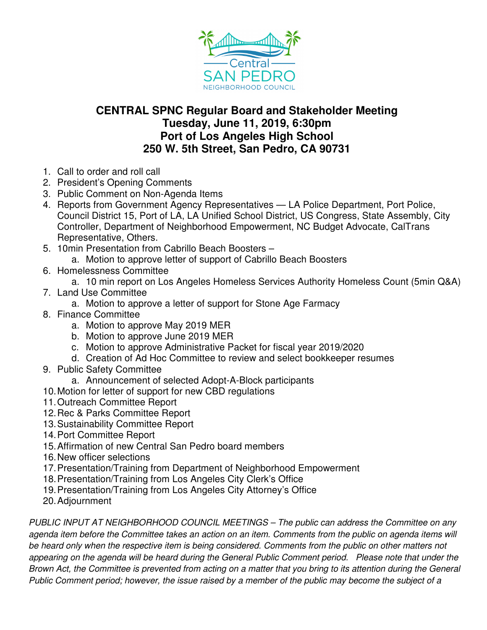

## **CENTRAL SPNC Regular Board and Stakeholder Meeting Tuesday, June 11, 2019, 6:30pm Port of Los Angeles High School 250 W. 5th Street, San Pedro, CA 90731**

- 1. Call to order and roll call
- 2. President's Opening Comments
- 3. Public Comment on Non-Agenda Items
- 4. Reports from Government Agency Representatives LA Police Department, Port Police, Council District 15, Port of LA, LA Unified School District, US Congress, State Assembly, City Controller, Department of Neighborhood Empowerment, NC Budget Advocate, CalTrans Representative, Others.
- 5. 10min Presentation from Cabrillo Beach Boosters –
- a. Motion to approve letter of support of Cabrillo Beach Boosters
- 6. Homelessness Committee
	- a. 10 min report on Los Angeles Homeless Services Authority Homeless Count (5min Q&A)
- 7. Land Use Committee
	- a. Motion to approve a letter of support for Stone Age Farmacy
- 8. Finance Committee
	- a. Motion to approve May 2019 MER
	- b. Motion to approve June 2019 MER
	- c. Motion to approve Administrative Packet for fiscal year 2019/2020
	- d. Creation of Ad Hoc Committee to review and select bookkeeper resumes
- 9. Public Safety Committee
	- a. Announcement of selected Adopt-A-Block participants
- 10. Motion for letter of support for new CBD regulations
- 11. Outreach Committee Report
- 12. Rec & Parks Committee Report
- 13. Sustainability Committee Report
- 14. Port Committee Report
- 15. Affirmation of new Central San Pedro board members
- 16. New officer selections
- 17. Presentation/Training from Department of Neighborhood Empowerment
- 18. Presentation/Training from Los Angeles City Clerk's Office
- 19. Presentation/Training from Los Angeles City Attorney's Office
- 20. Adjournment

PUBLIC INPUT AT NEIGHBORHOOD COUNCIL MEETINGS – The public can address the Committee on any agenda item before the Committee takes an action on an item. Comments from the public on agenda items will be heard only when the respective item is being considered. Comments from the public on other matters not appearing on the agenda will be heard during the General Public Comment period. Please note that under the Brown Act, the Committee is prevented from acting on a matter that you bring to its attention during the General Public Comment period; however, the issue raised by a member of the public may become the subject of a